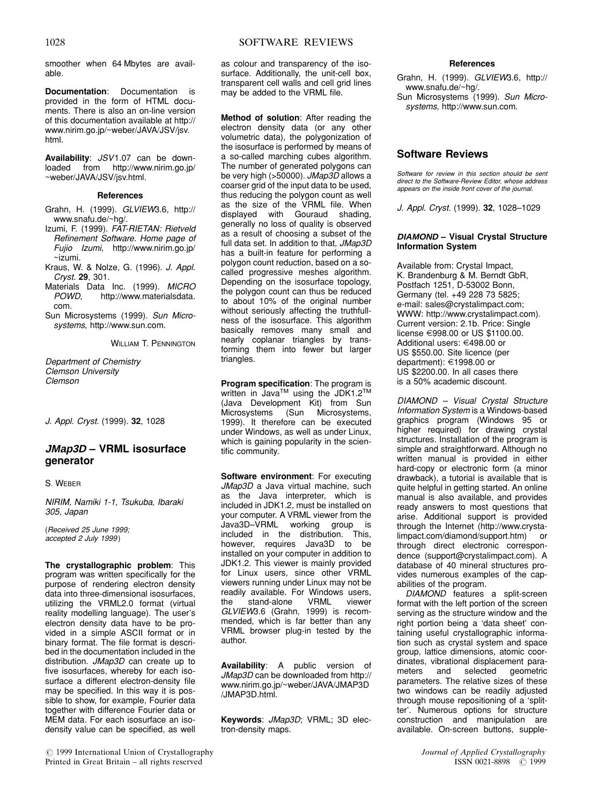smoother when 64 Mbytes are available.

Documentation: Documentation is provided in the form of HTML documents. There is also an on-line version of this documentation available at http:// www.nirim.go.jp/~weber/JAVA/JSV/jsv. html.

Availability: JSV1.07 can be downloaded from http://www.nirim.go.jp/ ~weber/JAVA/JSV/jsv.html.

### References

Grahn, H. (1999). GLVIEW3.6, http:// www.snafu.de/~hg/.

- Izumi, F. (1999). FAT-RIETAN: Rietveld Refinement Software. Home page of Fujio Izumi, http://www.nirim.go.jp/  $\sim$ izumi.
- Kraus, W. & Nolze, G. (1996). J. Appl. Cryst. 29, 301.
- Materials Data Inc. (1999). MICRO<br>POWD. http://www.materialsdata. http://www.materialsdata. com.
- Sun Microsystems (1999). Sun Microsystems, http://www.sun.com.

WILLIAM T. PENNINGTON

Department of Chemistry Clemson University Clemson

J. Appl. Cryst. (1999). 32, 1028

# JMap3D - VRML isosurface generator

S. WEBER

NIRIM, Namiki 1-1, Tsukuba, Ibaraki 305, Japan

(Received 25 June 1999; accepted 2 July 1999)

The crystallographic problem: This program was written specifically for the purpose of rendering electron density data into three-dimensional isosurfaces, utilizing the VRML2.0 format (virtual reality modelling language). The user's electron density data have to be provided in a simple ASCII format or in binary format. The file format is described in the documentation included in the distribution. JMap3D can create up to five isosurfaces, whereby for each isosurface a different electron-density file may be specified. In this way it is possible to show, for example, Fourier data together with difference Fourier data or MEM data. For each isosurface an isodensity value can be specified, as well

as colour and transparency of the isosurface. Additionally, the unit-cell box, transparent cell walls and cell grid lines may be added to the VRML file.

Method of solution: After reading the electron density data (or any other volumetric data), the polygonization of the isosurface is performed by means of a so-called marching cubes algorithm. The number of generated polygons can be very high (>50000). JMap3D allows a coarser grid of the input data to be used, thus reducing the polygon count as well as the size of the VRML file. When displayed with Gouraud shading, generally no loss of quality is observed as a result of choosing a subset of the full data set. In addition to that, JMap3D has a built-in feature for performing a polygon count reduction, based on a socalled progressive meshes algorithm. Depending on the isosurface topology, the polygon count can thus be reduced to about 10% of the original number without seriously affecting the truthfullness of the isosurface. This algorithm basically removes many small and nearly coplanar triangles by transforming them into fewer but larger triangles.

Program specification: The program is written in Java™ using the JDK1.2™ (Java Development Kit) from Sun<br>Microsystems (Sun Microsystems, (Sun Microsystems, 1999). It therefore can be executed under Windows, as well as under Linux, which is gaining popularity in the scientific community.

Software environment: For executing JMap3D a Java virtual machine, such as the Java interpreter, which is included in JDK1.2, must be installed on your computer. A VRML viewer from the Java3D-VRML working group is included in the distribution. This, however, requires Java3D to be installed on your computer in addition to JDK1.2. This viewer is mainly provided for Linux users, since other VRML viewers running under Linux may not be readily available. For Windows users,<br>the stand-alone VRML viewer  $the$  stand-alone GLVIEW3.6 (Grahn, 1999) is recommended, which is far better than any VRML browser plug-in tested by the author.

Availability: A public version of JMap3D can be downloaded from http:// www.nirim.go.jp/~weber/JAVA/JMAP3D /JMAP3D.html.

Keywords: JMap3D; VRML; 3D electron-density maps.

## References

Grahn, H. (1999). GLVIEW3.6, http:// www.snafu.de/~hg/. Sun Microsystems (1999). Sun Microsystems, http://www.sun.com.

Software Reviews

Software for review in this section should be sent direct to the Software-Review Editor, whose address appears on the inside front cover of the journal.

J. Appl. Cryst. (1999). 32, 1028-1029

### **DIAMOND** - Visual Crystal Structure Information System

Available from: Crystal Impact, K. Brandenburg & M. Berndt GbR, Postfach 1251, D-53002 Bonn, Germany (tel. +49 228 73 5825; e-mail: sales@crystalimpact.com; WWW: http://www.crystalimpact.com). Current version: 2.1b. Price: Single license E998.00 or US \$1100.00. Additional users: €498.00 or US \$550.00. Site licence (per department): €1998.00 or US \$2200.00. In all cases there is a 50% academic discount.

DIAMOND - Visual Crystal Structure Information System is a Windows-based graphics program (Windows 95 or higher required) for drawing crystal structures. Installation of the program is simple and straightforward. Although no written manual is provided in either hard-copy or electronic form (a minor drawback), a tutorial is available that is quite helpful in getting started. An online manual is also available, and provides ready answers to most questions that arise. Additional support is provided through the Internet (http://www.crysta-<br>limpact.com/diamond/support.htm) or  $limpact.com/diamond/support.htm)$ through direct electronic correspondence (support@crystalimpact.com). A database of 40 mineral structures provides numerous examples of the capabilities of the program.

DIAMOND features a split-screen format with the left portion of the screen serving as the structure window and the right portion being a 'data sheet' containing useful crystallographic information such as crystal system and space group, lattice dimensions, atomic coordinates, vibrational displacement para-<br>meters and selected geometric geometric parameters. The relative sizes of these two windows can be readily adjusted through mouse repositioning of a `splitter'. Numerous options for structure construction and manipulation are available. On-screen buttons, supple